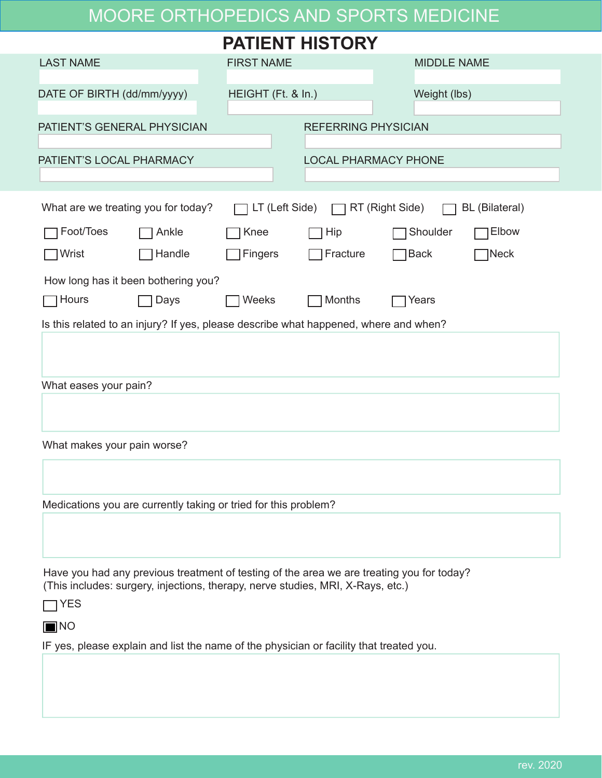## MOORE ORTHOPEDICS AND SPORTS MEDICINE

| <b>PATIENT HISTORY</b>                                                                                                                                                              |                                     |                    |                             |                            |       |  |  |  |  |
|-------------------------------------------------------------------------------------------------------------------------------------------------------------------------------------|-------------------------------------|--------------------|-----------------------------|----------------------------|-------|--|--|--|--|
| <b>LAST NAME</b>                                                                                                                                                                    |                                     | <b>FIRST NAME</b>  |                             | <b>MIDDLE NAME</b>         |       |  |  |  |  |
| DATE OF BIRTH (dd/mm/yyyy)                                                                                                                                                          |                                     | HEIGHT (Ft. & In.) |                             | Weight (lbs)               |       |  |  |  |  |
| PATIENT'S GENERAL PHYSICIAN                                                                                                                                                         |                                     |                    |                             | <b>REFERRING PHYSICIAN</b> |       |  |  |  |  |
| PATIENT'S LOCAL PHARMACY                                                                                                                                                            |                                     |                    | <b>LOCAL PHARMACY PHONE</b> |                            |       |  |  |  |  |
|                                                                                                                                                                                     |                                     |                    |                             |                            |       |  |  |  |  |
| What are we treating you for today?<br>$\Box$ LT (Left Side)<br>$\Box$ RT (Right Side)<br><b>BL</b> (Bilateral)                                                                     |                                     |                    |                             |                            |       |  |  |  |  |
| Foot/Toes                                                                                                                                                                           | Ankle                               | Knee               | Hip                         | Shoulder                   | Elbow |  |  |  |  |
| Wrist                                                                                                                                                                               | Handle                              | Fingers            | Fracture                    | $\sqcap$ Back              | ]Neck |  |  |  |  |
|                                                                                                                                                                                     | How long has it been bothering you? |                    |                             |                            |       |  |  |  |  |
| Hours                                                                                                                                                                               | Days                                | Weeks              | Months                      | Years                      |       |  |  |  |  |
| Is this related to an injury? If yes, please describe what happened, where and when?                                                                                                |                                     |                    |                             |                            |       |  |  |  |  |
|                                                                                                                                                                                     |                                     |                    |                             |                            |       |  |  |  |  |
|                                                                                                                                                                                     |                                     |                    |                             |                            |       |  |  |  |  |
| What eases your pain?                                                                                                                                                               |                                     |                    |                             |                            |       |  |  |  |  |
|                                                                                                                                                                                     |                                     |                    |                             |                            |       |  |  |  |  |
| What makes your pain worse?                                                                                                                                                         |                                     |                    |                             |                            |       |  |  |  |  |
|                                                                                                                                                                                     |                                     |                    |                             |                            |       |  |  |  |  |
|                                                                                                                                                                                     |                                     |                    |                             |                            |       |  |  |  |  |
| Medications you are currently taking or tried for this problem?                                                                                                                     |                                     |                    |                             |                            |       |  |  |  |  |
|                                                                                                                                                                                     |                                     |                    |                             |                            |       |  |  |  |  |
| Have you had any previous treatment of testing of the area we are treating you for today?<br>(This includes: surgery, injections, therapy, nerve studies, MRI, X-Rays, etc.)<br>YES |                                     |                    |                             |                            |       |  |  |  |  |
| $\blacksquare$ NO                                                                                                                                                                   |                                     |                    |                             |                            |       |  |  |  |  |
| IF yes, please explain and list the name of the physician or facility that treated you.                                                                                             |                                     |                    |                             |                            |       |  |  |  |  |
|                                                                                                                                                                                     |                                     |                    |                             |                            |       |  |  |  |  |